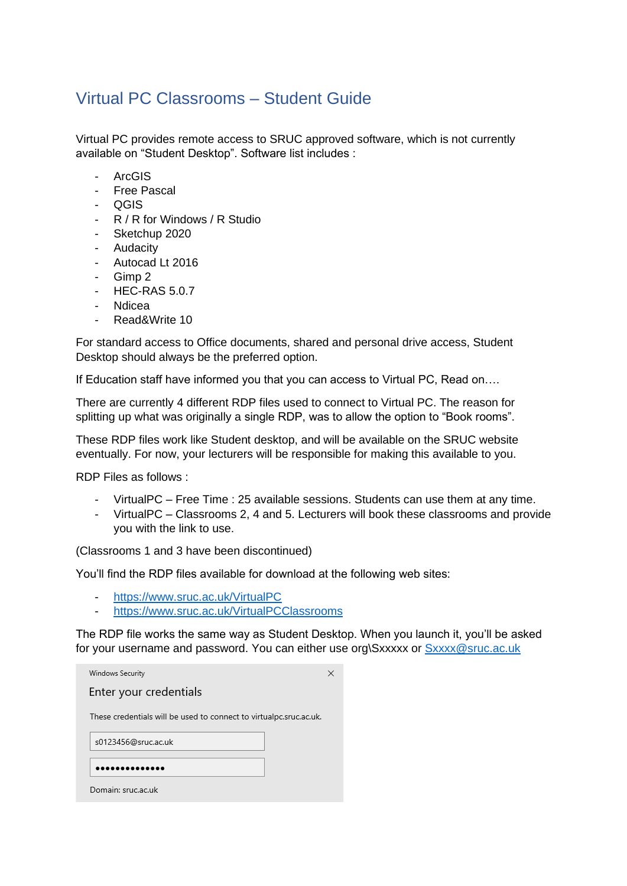## Virtual PC Classrooms – Student Guide

Virtual PC provides remote access to SRUC approved software, which is not currently available on "Student Desktop". Software list includes :

- ArcGIS
- Free Pascal
- QGIS
- R / R for Windows / R Studio
- Sketchup 2020
- Audacity
- Autocad Lt 2016
- Gimp 2
- HEC-RAS 5.0.7
- Ndicea
- Read&Write 10

For standard access to Office documents, shared and personal drive access, Student Desktop should always be the preferred option.

If Education staff have informed you that you can access to Virtual PC, Read on….

There are currently 4 different RDP files used to connect to Virtual PC. The reason for splitting up what was originally a single RDP, was to allow the option to "Book rooms".

These RDP files work like Student desktop, and will be available on the SRUC website eventually. For now, your lecturers will be responsible for making this available to you.

RDP Files as follows :

- VirtualPC Free Time : 25 available sessions. Students can use them at any time.
- VirtualPC Classrooms 2, 4 and 5. Lecturers will book these classrooms and provide you with the link to use.

(Classrooms 1 and 3 have been discontinued)

You'll find the RDP files available for download at the following web sites:

- <https://www.sruc.ac.uk/VirtualPC>
- <https://www.sruc.ac.uk/VirtualPCClassrooms>

The RDP file works the same way as Student Desktop. When you launch it, you'll be asked for your username and password. You can either use org\Sxxxxx or [Sxxxx@sruc.ac.uk](mailto:Sxxxx@sruc.ac.uk)

| Windows Security                                                   | × |
|--------------------------------------------------------------------|---|
| Enter your credentials                                             |   |
| These credentials will be used to connect to virtualpc.sruc.ac.uk. |   |
| s0123456@sruc.ac.uk                                                |   |
|                                                                    |   |
| Domain: sruc.ac.uk                                                 |   |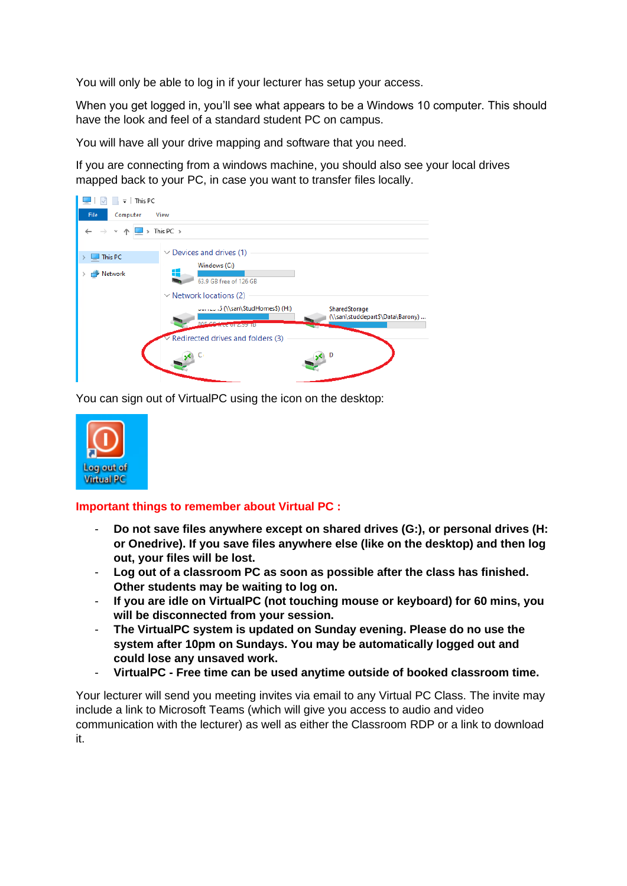You will only be able to log in if your lecturer has setup your access.

When you get logged in, you'll see what appears to be a Windows 10 computer. This should have the look and feel of a standard student PC on campus.

You will have all your drive mapping and software that you need.

If you are connecting from a windows machine, you should also see your local drives mapped back to your PC, in case you want to transfer files locally.



You can sign out of VirtualPC using the icon on the desktop:



## **Important things to remember about Virtual PC :**

- **Do not save files anywhere except on shared drives (G:), or personal drives (H: or Onedrive). If you save files anywhere else (like on the desktop) and then log out, your files will be lost.**
- **Log out of a classroom PC as soon as possible after the class has finished. Other students may be waiting to log on.**
- **If you are idle on VirtualPC (not touching mouse or keyboard) for 60 mins, you will be disconnected from your session.**
- **The VirtualPC system is updated on Sunday evening. Please do no use the system after 10pm on Sundays. You may be automatically logged out and could lose any unsaved work.**
- **VirtualPC - Free time can be used anytime outside of booked classroom time.**

Your lecturer will send you meeting invites via email to any Virtual PC Class. The invite may include a link to Microsoft Teams (which will give you access to audio and video communication with the lecturer) as well as either the Classroom RDP or a link to download it.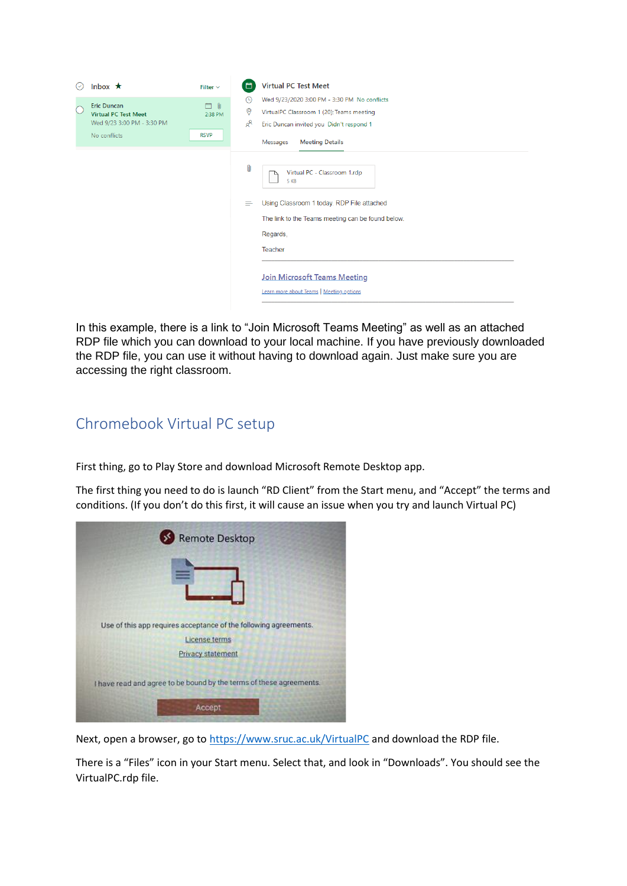| $(\vee)$  | Inbox $\star$                                                                                   | Filter $\vee$                 | a                              | <b>Virtual PC Test Meet</b>                                                                                                                                                                                                                       |
|-----------|-------------------------------------------------------------------------------------------------|-------------------------------|--------------------------------|---------------------------------------------------------------------------------------------------------------------------------------------------------------------------------------------------------------------------------------------------|
| $\bigcap$ | <b>Eric Duncan</b><br><b>Virtual PC Test Meet</b><br>Wed 9/23 3:00 PM - 3:30 PM<br>No conflicts | 白 O<br>2:38 PM<br><b>RSVP</b> | $\odot$<br>0<br>ρ <sup>8</sup> | Wed 9/23/2020 3:00 PM - 3:30 PM No conflicts<br>VirtualPC Classroom 1 (20); Teams meeting<br>Eric Duncan invited you Didn't respond 1<br>Messages<br><b>Meeting Details</b>                                                                       |
|           |                                                                                                 |                               | 0<br>≘                         | Virtual PC - Classroom 1.rdp<br>5 KB<br>Using Classroom 1 today. RDP File attached<br>The link to the Teams meeting can be found below.<br>Regards,<br>Teacher<br><b>Join Microsoft Teams Meeting</b><br>Learn more about Teams   Meeting options |

In this example, there is a link to "Join Microsoft Teams Meeting" as well as an attached RDP file which you can download to your local machine. If you have previously downloaded the RDP file, you can use it without having to download again. Just make sure you are accessing the right classroom.

## Chromebook Virtual PC setup

First thing, go to Play Store and download Microsoft Remote Desktop app.

The first thing you need to do is launch "RD Client" from the Start menu, and "Accept" the terms and conditions. (If you don't do this first, it will cause an issue when you try and launch Virtual PC)

| <b>Remote Desktop</b>                                               |
|---------------------------------------------------------------------|
|                                                                     |
|                                                                     |
|                                                                     |
| Use of this app requires acceptance of the following agreements.    |
| <b>License terms</b>                                                |
| Privacy statement                                                   |
| I have read and agree to be bound by the terms of these agreements. |
| Accept                                                              |

Next, open a browser, go to<https://www.sruc.ac.uk/VirtualPC> and download the RDP file.

There is a "Files" icon in your Start menu. Select that, and look in "Downloads". You should see the VirtualPC.rdp file.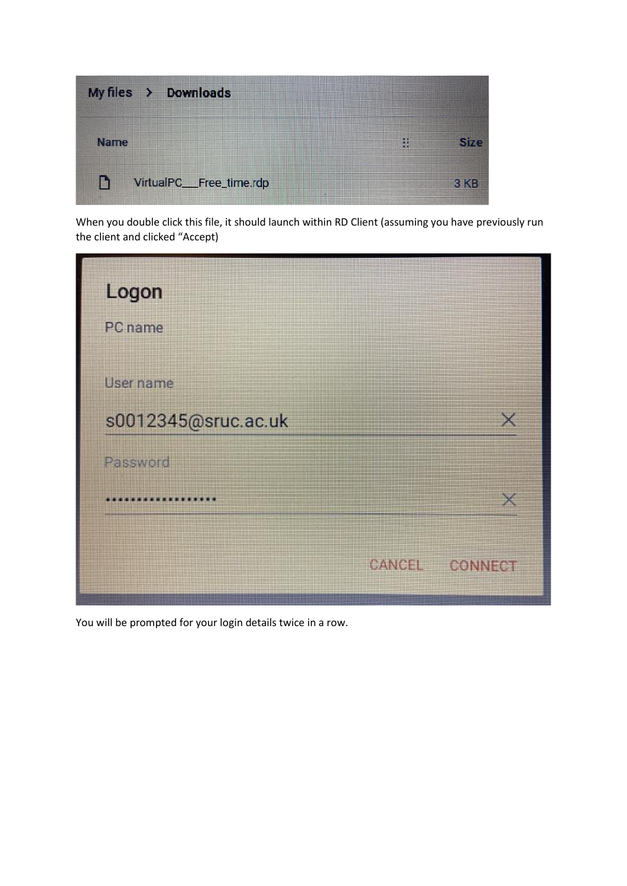

When you double click this file, it should launch within RD Client (assuming you have previously run the client and clicked "Accept)



You will be prompted for your login details twice in a row.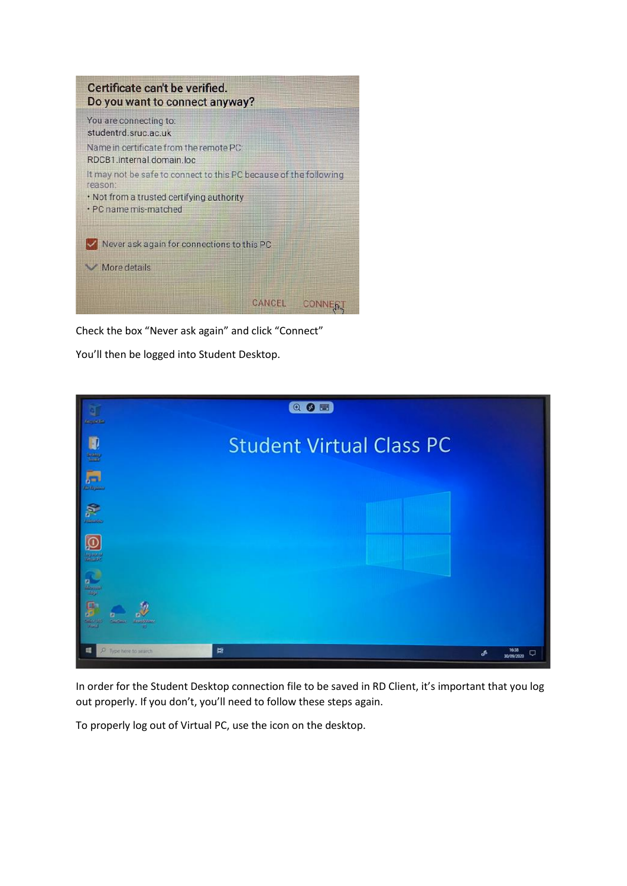

Check the box "Never ask again" and click "Connect"

You'll then be logged into Student Desktop.



In order for the Student Desktop connection file to be saved in RD Client, it's important that you log out properly. If you don't, you'll need to follow these steps again.

To properly log out of Virtual PC, use the icon on the desktop.